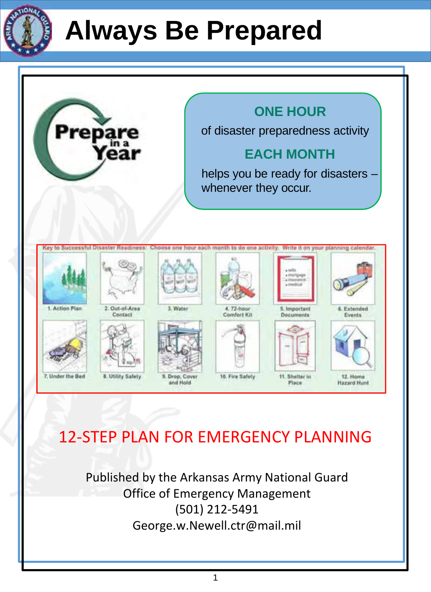



### 12-STEP PLAN FOR EMERGENCY PLANNING

Published by the Arkansas Army National Guard Office of Emergency Management (501) 212-5491 George.w.Newell.ctr@mail.mil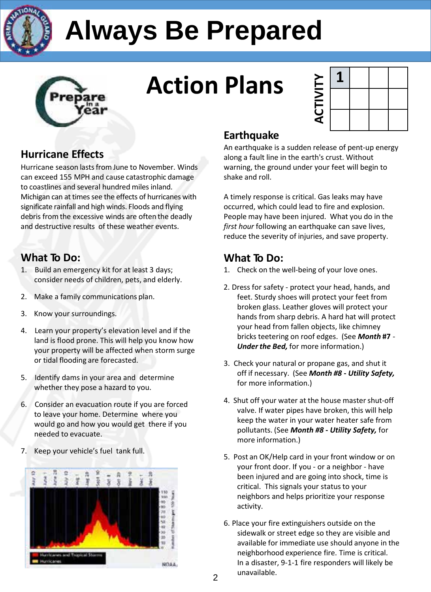



## **Action Plans**

| $\overline{\mathbf{C}}$<br>₹ |  |  |
|------------------------------|--|--|

### **Hurricane Effects**

Hurricane season lastsfrom June to November. Winds can exceed 155 MPH and cause catastrophic damage to coastlines and several hundred miles inland. Michigan can at times see the effects of hurricanes with significate rainfall and high winds. Floods and flying debris from the excessive winds are often the deadly and destructive results of these weather events.

### **What To Do:**

- 1. Build an emergency kit for at least 3 days; consider needs of children, pets, and elderly.
- 2. Make a family communications plan.
- 3. Know your surroundings.
- 4. Learn your property's elevation level and if the land is flood prone. This will help you know how your property will be affected when storm surge or tidal flooding are forecasted.
- 5. Identify dams in your area and determine whether they pose a hazard to you.
- 6. Consider an evacuation route if you are forced to leave your home. Determine where you would go and how you would get there if you needed to evacuate.
- 7. Keep your vehicle's fuel tank full.



### **Earthquake**

An earthquake is a sudden release of pent-up energy along a fault line in the earth's crust. Without warning, the ground under your feet will begin to shake and roll.

A timely response is critical. Gas leaks may have occurred, which could lead to fire and explosion. People may have been injured. What you do in the *first hour* following an earthquake can save lives, reduce the severity of injuries, and save property.

### **What To Do:**

- 1. Check on the well-being of your love ones.
- 2. Dress for safety protect your head, hands, and feet. Sturdy shoes will protect your feet from broken glass. Leather gloves will protect your hands from sharp debris. A hard hat will protect your head from fallen objects, like chimney bricks teetering on roof edges. (See *Month* **#7** - *Under the Bed,* for more information.)
- 3. Check your natural or propane gas, and shut it off if necessary. (See *Month #8* **-** *Utility Safety,* for more information.)
- 4. Shut off your water at the house master shut-off valve. If water pipes have broken, this will help keep the water in your water heater safe from pollutants. (See *Month #8* **-** *Utility Safety,* for more information.)
- 5. Post an OK/Help card in your front window or on your front door. If you - or a neighbor - have been injured and are going into shock, time is critical. This signals your status to your neighbors and helps prioritize your response activity.
- 6. Place your fire extinguishers outside on the sidewalk or street edge so they are visible and available for immediate use should anyone in the neighborhood experience fire. Time is critical. In a disaster, 9-1-1 fire responders will likely be unavailable.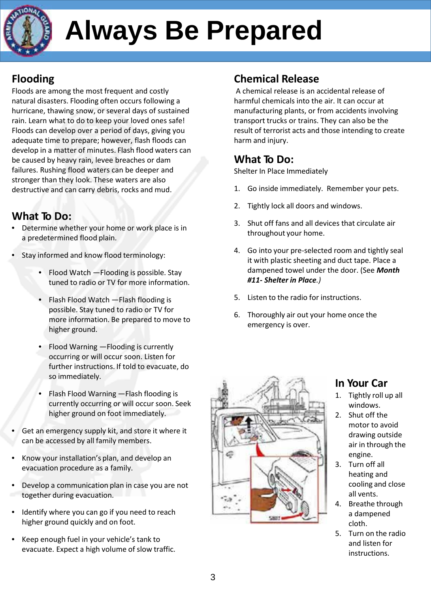

### **Flooding**

Floods are among the most frequent and costly natural disasters. Flooding often occurs following a hurricane, thawing snow, or several days of sustained rain. Learn what to do to keep your loved ones safe! Floods can develop over a period of days, giving you adequate time to prepare; however, flash floods can develop in a matter of minutes. Flash flood waters can be caused by heavy rain, levee breaches or dam failures. Rushing flood waters can be deeper and stronger than they look. These waters are also destructive and can carry debris, rocks and mud.

### **What To Do:**

- Determine whether your home or work place is in a predetermined flood plain.
- Stay informed and know flood terminology:
	- Flood Watch Flooding is possible. Stay tuned to radio or TV for more information.
	- Flash Flood Watch —Flash flooding is possible. Stay tuned to radio or TV for more information. Be prepared to move to higher ground.
	- Flood Warning —Flooding is currently occurring or will occur soon. Listen for further instructions. If told to evacuate, do so immediately.
	- Flash Flood Warning —Flash flooding is currently occurring or will occur soon. Seek higher ground on foot immediately.
- Get an emergency supply kit, and store it where it can be accessed by all family members.
- Know your installation's plan, and develop an evacuation procedure as a family.
- Develop a communication plan in case you are not together during evacuation.
- Identify where you can go if you need to reach higher ground quickly and on foot.
- Keep enough fuel in your vehicle's tank to evacuate. Expect a high volume of slow traffic.

### **Chemical Release**

A chemical release is an accidental release of harmful chemicals into the air. It can occur at manufacturing plants, or from accidents involving transport trucks or trains. They can also be the result of terrorist acts and those intending to create harm and injury.

### **What To Do:**

Shelter In Place Immediately

- 1. Go inside immediately. Remember your pets.
- 2. Tightly lock all doors and windows.
- 3. Shut off fans and all devices that circulate air throughout your home.
- 4. Go into your pre-selected room and tightly seal it with plastic sheeting and duct tape. Place a dampened towel under the door. (See *Month #11- Shelter in Place.)*
- 5. Listen to the radio for instructions.
- 6. Thoroughly air out your home once the emergency is over.



### **In Your Car**

- 1. Tightly roll up all windows.
- 2. Shut off the motor to avoid drawing outside air in through the engine.
- 3. Turn off all heating and cooling and close all vents.
- 4. Breathe through a dampened cloth.
- 5. Turn on the radio and listen for instructions.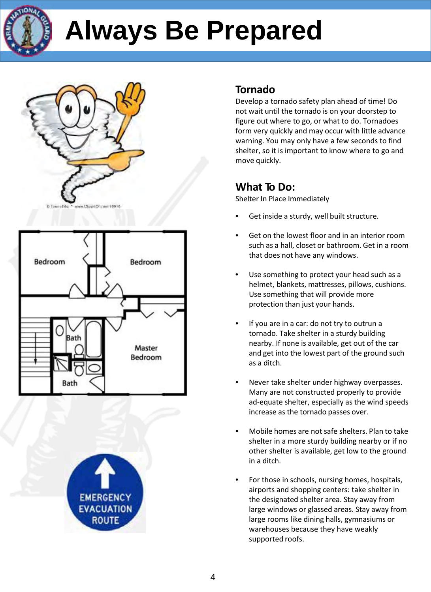







### **Tornado**

Develop a tornado safety plan ahead of time! Do not wait until the tornado is on your doorstep to figure out where to go, or what to do. Tornadoes form very quickly and may occur with little advance warning. You may only have a few seconds to find shelter, so it is important to know where to go and move quickly.

### **What To Do:**

Shelter In Place Immediately

- Get inside a sturdy, well built structure.
- Get on the lowest floor and in an interior room such as a hall, closet or bathroom. Get in a room that does not have any windows.
- Use something to protect your head such as a helmet, blankets, mattresses, pillows, cushions. Use something that will provide more protection than just your hands.
- If you are in a car: do not try to outrun a tornado. Take shelter in a sturdy building nearby. If none is available, get out of the car and get into the lowest part of the ground such as a ditch.
- Never take shelter under highway overpasses. Many are not constructed properly to provide ad-equate shelter, especially as the wind speeds increase as the tornado passes over.
- Mobile homes are not safe shelters. Plan to take shelter in a more sturdy building nearby or if no other shelter is available, get low to the ground in a ditch.
- For those in schools, nursing homes, hospitals, airports and shopping centers: take shelter in the designated shelter area. Stay away from large windows or glassed areas. Stay away from large rooms like dining halls, gymnasiums or warehouses because they have weakly supported roofs.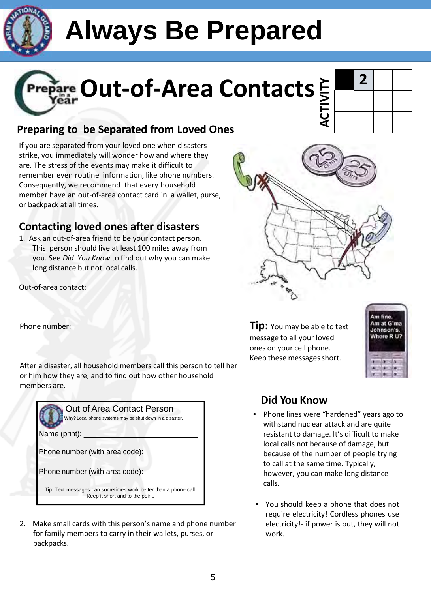



### **Preparing to be Separated from Loved Ones**

If you are separated from your loved one when disasters strike, you immediately will wonder how and where they are. The stress of the events may make it difficult to remember even routine information, like phone numbers. Consequently, we recommend that every household member have an out-of-area contact card in a wallet, purse, or backpack at all times.

### **Contacting loved ones after disasters**

1. Ask an out-of-area friend to be your contact person. This person should live at least 100 miles away from you. See *Did You Know* to find out why you can make long distance but not local calls.

Out-of-area contact:

Phone number:

After a disaster, all household members call this person to tell her or him how they are, and to find out how other household members are.

| Out of Area Contact Person<br>Why? Local phone systems may be shut down in a disaster.<br>Name (print): |  |  |
|---------------------------------------------------------------------------------------------------------|--|--|
|                                                                                                         |  |  |
| Phone number (with area code):                                                                          |  |  |
| Phone number (with area code):                                                                          |  |  |
| Tip: Text messages can sometimes work better than a phone call.<br>Keep it short and to the point.      |  |  |

2. Make small cards with this person's name and phone number for family members to carry in their wallets, purses, or backpacks.





**Tip:** You may be able to text message to all your loved ones on your cell phone. Keep these messages short.



### **Did You Know**

- Phone lines were "hardened" years ago to withstand nuclear attack and are quite resistant to damage. It's difficult to make local calls not because of damage, but because of the number of people trying to call at the same time. Typically, however, you can make long distance calls.
- You should keep a phone that does not require electricity! Cordless phones use electricity!- if power is out, they will not work.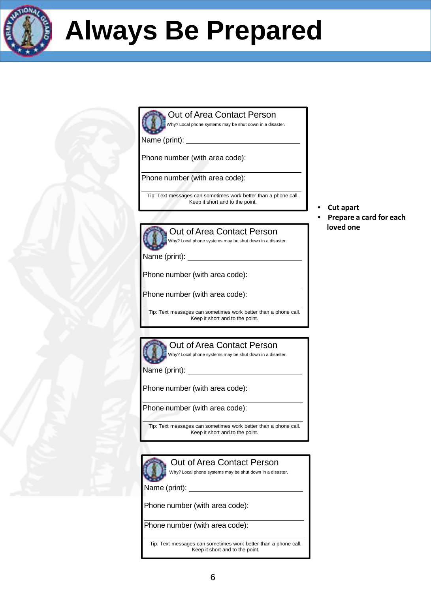

#### Out of Area Contact Person Why? Local phone systems may be shut down in a disaster.

Name (print): \_\_

Phone number (with area code):

Phone number (with area code):

Tip: Text messages can sometimes work better than a phone call. Keep it short and to the point.

- **Cut apart**
- **Prepare a card for each loved one**



Out of Area Contact Person Why? Local phone systems may be shut down in a disaster.

Name (print): \_

Phone number (with area code):

Phone number (with area code):

Tip: Text messages can sometimes work better than a phone call. Keep it short and to the point.



### Out of Area Contact Person

Why? Local phone systems may be shut down in a disaster.

Name (print): \_

Phone number (with area code):

Phone number (with area code):

Tip: Text messages can sometimes work better than a phone call. Keep it short and to the point.



### Out of Area Contact Person

Why? Local phone systems may be shut down in a disaster.

Name (print):

Phone number (with area code):

Phone number (with area code):

Tip: Text messages can sometimes work better than a phone call. Keep it short and to the point.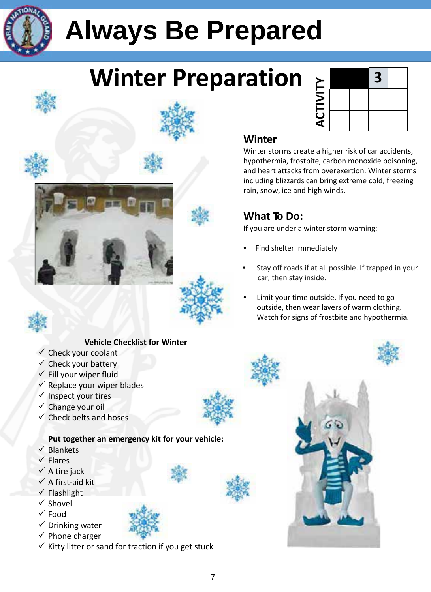

### **Winter Preparation**



### **Winter**

Winter storms create a higher risk of car accidents, hypothermia, frostbite, carbon monoxide poisoning, and heart attacks from overexertion. Winter storms including blizzards can bring extreme cold, freezing rain, snow, ice and high winds.

### **What To Do:**

If you are under a winter storm warning:

- Find shelter Immediately
- Stay off roads if at all possible. If trapped in your car, then stay inside.
- Limit your time outside. If you need to go outside, then wear layers of warm clothing. Watch for signs of frostbite and hypothermia.











### **Vehicle Checklist for Winter**

- $\checkmark$  Check your coolant
- $\checkmark$  Check your battery
- $\checkmark$  Fill your wiper fluid
- $\checkmark$  Replace your wiper blades
- $\checkmark$  Inspect your tires
- $\checkmark$  Change your oil
- $\checkmark$  Check belts and hoses

### **Put together an emergency kit for your vehicle:**

- $\checkmark$  Blankets
- $\checkmark$  Flares
- $\checkmark$  A tire jack
- $\checkmark$  A first-aid kit
- $\checkmark$  Flashlight
- $\checkmark$  Shovel
- Food
- $\checkmark$  Drinking water  $\checkmark$  Phone charger
- $\checkmark$  Kitty litter or sand for traction if you get stuck

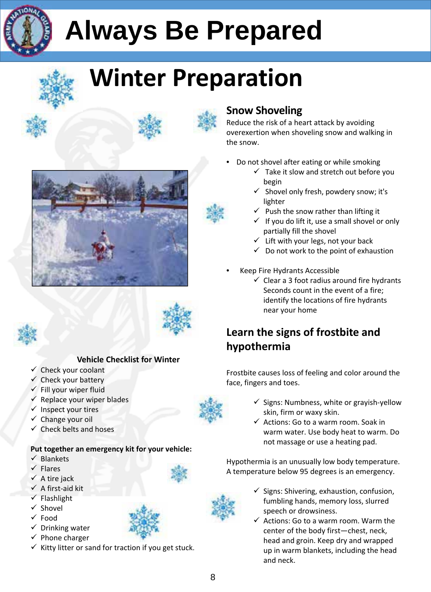

### **Winter Preparation**













### **Vehicle Checklist for Winter**

- $\checkmark$  Check your coolant
- $\checkmark$  Check your battery
- $\checkmark$  Fill your wiper fluid
- $\checkmark$  Replace your wiper blades
- $\checkmark$  Inspect your tires
- $\checkmark$  Change your oil
- $\checkmark$  Check belts and hoses

### **Put together an emergency kit for your vehicle:**

- $\checkmark$  Blankets
- $\checkmark$  Flares
- $\checkmark$  A tire jack
- $\checkmark$  A first-aid kit
- $\checkmark$  Flashlight
- $\checkmark$  Shovel
- $\checkmark$  Food
- $\checkmark$  Drinking water



 $\checkmark$  Kitty litter or sand for traction if you get stuck.

### **Snow Shoveling**

Reduce the risk of a heart attack by avoiding overexertion when shoveling snow and walking in the snow.

- Do not shovel after eating or while smoking
	- $\checkmark$  Take it slow and stretch out before you begin
	- $\checkmark$  Shovel only fresh, powdery snow; it's lighter
	- $\checkmark$  Push the snow rather than lifting it
	- $\checkmark$  If you do lift it, use a small shovel or only partially fill the shovel
	- $\checkmark$  Lift with your legs, not your back
	- $\checkmark$  Do not work to the point of exhaustion
- Keep Fire Hydrants Accessible
	- $\checkmark$  Clear a 3 foot radius around fire hydrants Seconds count in the event of a fire; identify the locations of fire hydrants near your home

### **Learn the signs of frostbite and hypothermia**

Frostbite causes loss of feeling and color around the face, fingers and toes.

- $\checkmark$  Signs: Numbness, white or grayish-yellow skin, firm or waxy skin.
- $\checkmark$  Actions: Go to a warm room. Soak in warm water. Use body heat to warm. Do not massage or use a heating pad.

Hypothermia is an unusually low body temperature. A temperature below 95 degrees is an emergency.

- $\checkmark$  Signs: Shivering, exhaustion, confusion, fumbling hands, memory loss, slurred speech or drowsiness.
- $\checkmark$  Actions: Go to a warm room. Warm the center of the body first—chest, neck, head and groin. Keep dry and wrapped up in warm blankets, including the head and neck.



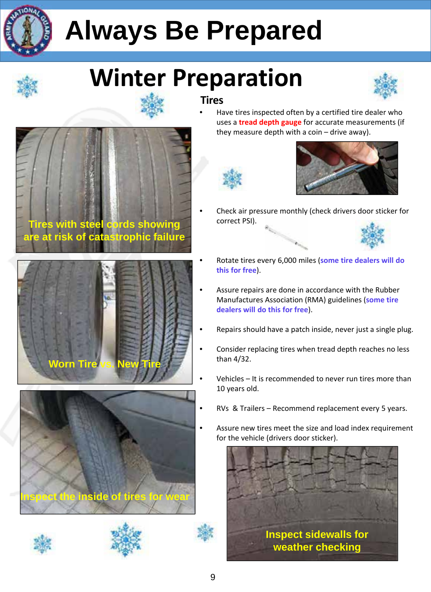

### **Winter Preparation**





Have tires inspected often by a certified tire dealer who uses a **tread depth gauge** for accurate measurements (if they measure depth with a coin – drive away).





• Check air pressure monthly (check drivers door sticker for correct PSI).



- Rotate tires every 6,000 miles (**some tire dealers will do this for free**).
- Assure repairs are done in accordance with the Rubber Manufactures Association (RMA) guidelines (**some tire dealers will do this for free**).
- Repairs should have a patch inside, never just a single plug.
- Consider replacing tires when tread depth reaches no less than 4/32.
- Vehicles It is recommended to never run tires more than 10 years old.
- RVs & Trailers Recommend replacement every 5 years.
- Assure new tires meet the size and load index requirement for the vehicle (drivers door sticker).











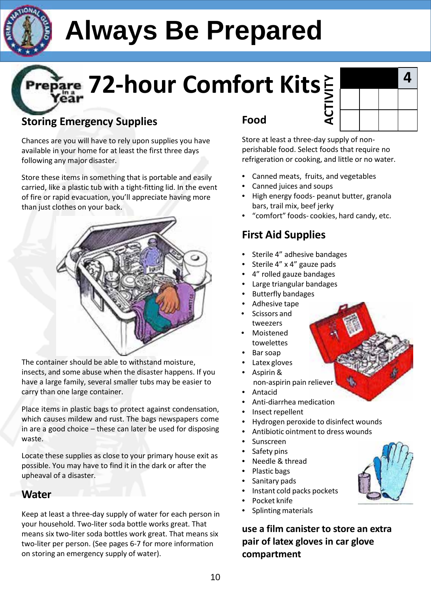

# **72-hour Comfort Kits**

### **Storing Emergency Supplies**

Chances are you will have to rely upon supplies you have available in your home for at least the first three days following any major disaster.

Store these items in something that is portable and easily carried, like a plastic tub with a tight-fitting lid. In the event of fire or rapid evacuation, you'll appreciate having more than just clothes on your back.



The container should be able to withstand moisture, insects, and some abuse when the disaster happens. If you have a large family, several smaller tubs may be easier to carry than one large container.

Place items in plastic bags to protect against condensation, which causes mildew and rust. The bags newspapers come in are a good choice – these can later be used for disposing waste.

Locate these supplies as close to your primary house exit as possible. You may have to find it in the dark or after the upheaval of a disaster.

### **Water**

Keep at least a three-day supply of water for each person in your household. Two-liter soda bottle works great. That means six two-liter soda bottles work great. That means six two-liter per person. (See pages 6-7 for more information on storing an emergency supply of water).

### **Food**

|        |  | 4 |
|--------|--|---|
| $\geq$ |  |   |
| )<br>∢ |  |   |

Store at least a three-day supply of nonperishable food. Select foods that require no refrigeration or cooking, and little or no water.

- Canned meats, fruits, and vegetables
- Canned juices and soups
- High energy foods- peanut butter, granola bars, trail mix, beef jerky
- "comfort" foods- cookies, hard candy, etc.

### **First Aid Supplies**

- Sterile 4" adhesive bandages
- Sterile 4" x 4" gauze pads
- 4" rolled gauze bandages
- Large triangular bandages
- Butterfly bandages
- Adhesive tape • Scissors and
- tweezers
- **Moistened** towelettes
- Bar soap
- Latex gloves
- Aspirin & non-aspirin pain reliever
- Antacid
- Anti-diarrhea medication
- Insect repellent
- Hydrogen peroxide to disinfect wounds
- Antibiotic ointment to dress wounds
- Sunscreen
- Safety pins
- Needle & thread
- Plastic bags
- Sanitary pads
- Instant cold packs pockets
- Pocket knife
- Splinting materials

**use a film canister to store an extra pair of latex gloves in car glove compartment**

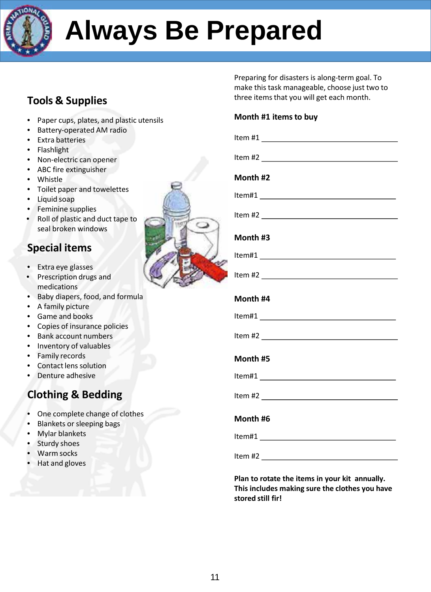

### **Tools & Supplies**

- Paper cups, plates, and plastic utensils
- Battery-operated AM radio
- Extra batteries
- Flashlight
- Non-electric can opener
- ABC fire extinguisher
- Whistle
- Toilet paper and towelettes
- Liquid soap
- Feminine supplies
- Roll of plastic and duct tape to seal broken windows

### **Special items**

- Extra eye glasses
- Prescription drugs and medications
- Baby diapers, food, and formula
- A family picture
- Game and books
- Copies of insurance policies
- Bank account numbers
- Inventory of valuables
- Family records
- Contact lens solution
- Denture adhesive

### **Clothing & Bedding**

- One complete change of clothes
- Blankets or sleeping bags
- Mylar blankets
- Sturdy shoes
- Warm socks
- Hat and gloves

| Preparing for disasters is along-term goal. To |
|------------------------------------------------|
| make this task manageable, choose just two to  |
| three items that you will get each month.      |

#### **Month #1 itemsto buy**

| Month #2                                                                                                                                                                                                                                                                                                              |
|-----------------------------------------------------------------------------------------------------------------------------------------------------------------------------------------------------------------------------------------------------------------------------------------------------------------------|
|                                                                                                                                                                                                                                                                                                                       |
|                                                                                                                                                                                                                                                                                                                       |
| Month #3                                                                                                                                                                                                                                                                                                              |
|                                                                                                                                                                                                                                                                                                                       |
|                                                                                                                                                                                                                                                                                                                       |
| Month #4                                                                                                                                                                                                                                                                                                              |
|                                                                                                                                                                                                                                                                                                                       |
|                                                                                                                                                                                                                                                                                                                       |
| Month #5                                                                                                                                                                                                                                                                                                              |
|                                                                                                                                                                                                                                                                                                                       |
| Item #2 $\frac{1}{2}$ $\frac{1}{2}$ $\frac{1}{2}$ $\frac{1}{2}$ $\frac{1}{2}$ $\frac{1}{2}$ $\frac{1}{2}$ $\frac{1}{2}$ $\frac{1}{2}$ $\frac{1}{2}$ $\frac{1}{2}$ $\frac{1}{2}$ $\frac{1}{2}$ $\frac{1}{2}$ $\frac{1}{2}$ $\frac{1}{2}$ $\frac{1}{2}$ $\frac{1}{2}$ $\frac{1}{2}$ $\frac{1}{2}$ $\frac{1}{2}$ $\frac$ |
| Month #6                                                                                                                                                                                                                                                                                                              |
|                                                                                                                                                                                                                                                                                                                       |
|                                                                                                                                                                                                                                                                                                                       |

**Plan to rotate the items in your kit annually. This includes making sure the clothes you have stored still fir!**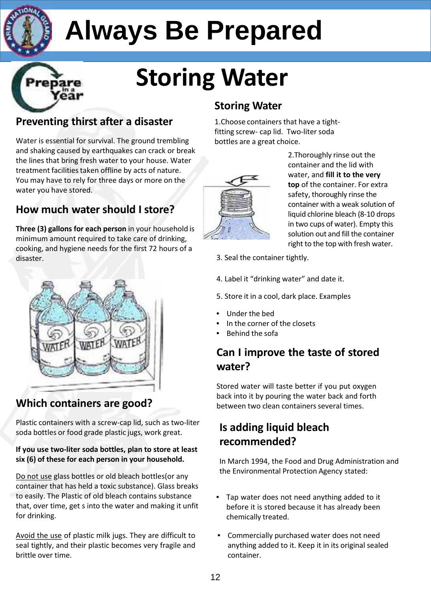

## **Storing Water**

### **Preventing thirst after a disaster**

Water is essential for survival. The ground trembling and shaking caused by earthquakes can crack or break the lines that bring fresh water to your house. Water treatment facilities taken offline by acts of nature. You may have to rely for three days or more on the water you have stored.

### **How much water should I store?**

**Three (3) gallons for each person** in your household is minimum amount required to take care of drinking, cooking, and hygiene needs for the first 72 hours of a disaster.



### **Which containers are good?**

Plastic containers with a screw-cap lid, such as two-liter soda bottles or food grade plastic jugs, work great.

#### **If you use two-liter soda bottles, plan to store at least six (6) of these for each person in your household.**

Do not use glass bottles or old bleach bottles(or any container that has held a toxic substance). Glass breaks to easily. The Plastic of old bleach contains substance that, over time, get s into the water and making it unfit for drinking.

Avoid the use of plastic milk jugs. They are difficult to seal tightly, and their plastic becomes very fragile and brittle over time.

### **Storing Water**

1. Choose containers that have a tightfitting screw- cap lid. Two-liter soda bottles are a great choice.



2.Thoroughly rinse out the container and the lid with water, and **fill it to the very top** of the container. For extra safety, thoroughly rinse the container with a weak solution of liquid chlorine bleach (8-10 drops in two cups of water). Empty this solution out and fill the container right to the top with fresh water.

- 3. Seal the container tightly.
- 4. Label it "drinking water" and date it.
- 5. Store it in a cool, dark place. Examples
- Under the bed
- In the corner of the closets
- Behind the sofa

### **Can I improve the taste of stored water?**

Stored water will taste better if you put oxygen back into it by pouring the water back and forth between two clean containers several times.

### **Is adding liquid bleach recommended?**

In March 1994, the Food and Drug Administration and the Environmental Protection Agency stated:

- Tap water does not need anything added to it before it is stored because it has already been chemically treated.
- Commercially purchased water does not need anything added to it. Keep it in its original sealed container.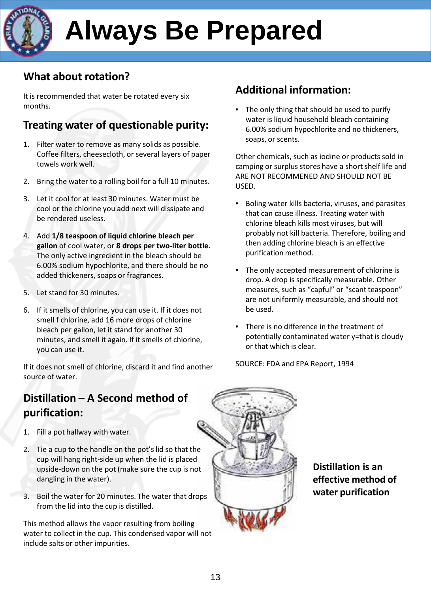### **What about rotation?**

It is recommended that water be rotated every six months.

### **Treating water of questionable purity:**

- 1. Filter water to remove as many solids as possible. Coffee filters, cheesecloth, or several layers of paper towels work well.
- 2. Bring the water to a rolling boil for a full 10 minutes.
- 3. Let it cool for at least 30 minutes. Water must be cool or the chlorine you add next will dissipate and be rendered useless.
- 4. Add **1/8 teaspoon of liquid chlorine bleach per gallon** of cool water, or **8 drops per two-liter bottle.** The only active ingredient in the bleach should be 6.00% sodium hypochlorite, and there should be no added thickeners, soaps or fragrances.
- 5. Let stand for 30 minutes.
- 6. If it smells of chlorine, you can use it. If it does not smell f chlorine, add 16 more drops of chlorine bleach per gallon, let it stand for another 30 minutes, and smell it again. If it smells of chlorine, you can use it.

If it does not smell of chlorine, discard it and find another source of water.

### **Distillation – A Second method of purification:**

- 1. Fill a pot hallway with water.
- 2. Tie a cup to the handle on the pot's lid so that the cup will hang right-side up when the lid is placed upside-down on the pot (make sure the cup is not dangling in the water).
- 3. Boil the water for 20 minutes. The water that drops from the lid into the cup is distilled.

This method allows the vapor resulting from boiling water to collect in the cup. This condensed vapor will not include salts or other impurities.

### **Additional information:**

The only thing that should be used to purify water is liquid household bleach containing 6.00% sodium hypochlorite and no thickeners, soaps, or scents.

Other chemicals, such as iodine or products sold in camping or surplus stores have a short shelf life and ARE NOT RECOMMENED AND SHOULD NOT BE USED.

- Boling water kills bacteria, viruses, and parasites that can cause illness. Treating water with chlorine bleach kills most viruses, but will probably not kill bacteria. Therefore, boiling and then adding chlorine bleach is an effective purification method.
- The only accepted measurement of chlorine is drop. A drop is specifically measurable. Other measures, such as "capful" or "scant teaspoon" are not uniformly measurable, and should not be used.
- There is no difference in the treatment of potentially contaminated water y=that is cloudy or that which is clear.

SOURCE: FDA and EPA Report, 1994



**Distillation is an effective method of water purification**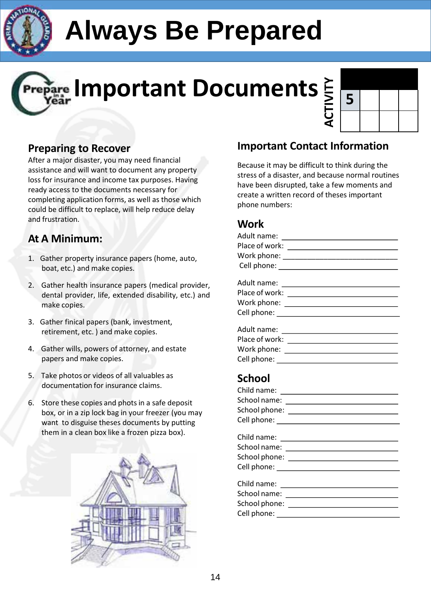

## **Important Documents**



### **Preparing to Recover**

After a major disaster, you may need financial assistance and will want to document any property loss for insurance and income tax purposes. Having ready access to the documents necessary for completing application forms, as well as those which could be difficult to replace, will help reduce delay and frustration.

### **At A Minimum:**

- 1. Gather property insurance papers (home, auto, boat, etc.) and make copies.
- 2. Gather health insurance papers (medical provider, dental provider, life, extended disability, etc.) and make copies.
- 3. Gather finical papers (bank, investment, retirement, etc. ) and make copies.
- 4. Gather wills, powers of attorney, and estate papers and make copies.
- 5. Take photos or videos of all valuables as documentation for insurance claims.
- 6. Store these copies and photsin a safe deposit box, or in a zip lock bag in your freezer (you may want to disguise theses documents by putting them in a clean box like a frozen pizza box).



### **Important Contact Information**

Because it may be difficult to think during the stress of a disaster, and because normal routines have been disrupted, take a few moments and create a written record of theses important phone numbers:

### **Work**

| Cell phone: |  |
|-------------|--|

### **School**

| School name: <u>_____________________________</u> |
|---------------------------------------------------|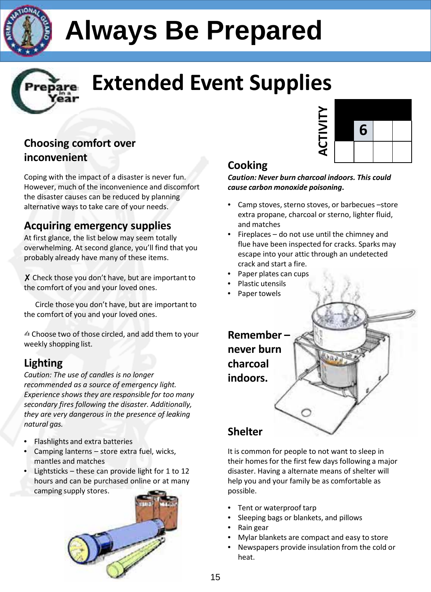



### **Extended Event Supplies**

### **Choosing comfort over inconvenient**

Coping with the impact of a disaster is never fun. However, much of the inconvenience and discomfort the disaster causes can be reduced by planning alternative ways to take care of your needs.

### **Acquiring emergency supplies**

At first glance, the list below may seem totally overwhelming. At second glance, you'll find that you probably already have many of these items.

 $X$  Check those you don't have, but are important to the comfort of you and your loved ones.

Circle those you don't have, but are important to the comfort of you and your loved ones.

✍ Choose two of those circled, and add them to your weekly shopping list.

### **Lighting**

*Caution: The use of candles is no longer recommended as a source of emergency light. Experience shows they are responsible for too many secondary fires following the disaster. Additionally, they are very dangerous in the presence of leaking natural gas.*

- Flashlights and extra batteries
- Camping lanterns store extra fuel, wicks, mantles and matches
- Lightsticks these can provide light for 1 to 12 hours and can be purchased online or at many camping supply stores.





### **Cooking**

*Caution: Never burn charcoal indoors. This could cause carbon monoxide poisoning***.**

- Camp stoves, sterno stoves, or barbecues –store extra propane, charcoal or sterno, lighter fluid, and matches
- Fireplaces  $-$  do not use until the chimney and flue have been inspected for cracks. Sparks may escape into your attic through an undetected crack and start a fire.
- Paper plates can cups
- Plastic utensils
- Paper towels



It is common for people to not want to sleep in their homes for the first few days following a major disaster. Having a alternate means of shelter will help you and your family be as comfortable as possible.

- Tent or waterproof tarp
- Sleeping bags or blankets, and pillows
- Rain gear
- Mylar blankets are compact and easy to store
- Newspapers provide insulation from the cold or heat.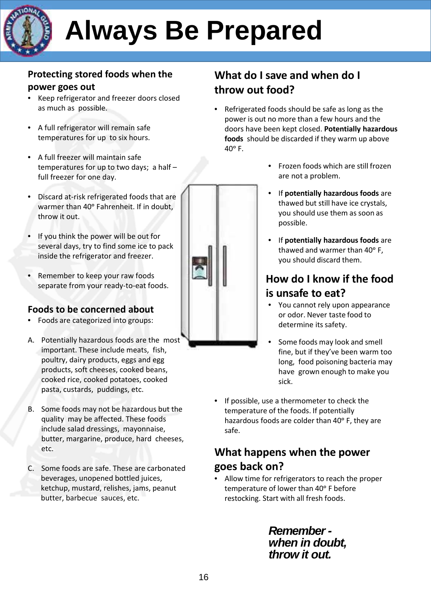

### **Protecting stored foods when the power goes out**

- Keep refrigerator and freezer doors closed as much as possible.
- A full refrigerator will remain safe temperatures for up to six hours.
- A full freezer will maintain safe temperatures for up to two days; a half – full freezer for one day.
- Discard at-risk refrigerated foods that are warmer than 40° Fahrenheit. If in doubt, throw it out.
- If you think the power will be out for several days, try to find some ice to pack inside the refrigerator and freezer.
- Remember to keep your raw foods separate from your ready-to-eat foods.

### **Foods to be concerned about**

- Foods are categorized into groups:
- A. Potentially hazardous foods are the most important. These include meats, fish, poultry, dairy products, eggs and egg products, soft cheeses, cooked beans, cooked rice, cooked potatoes, cooked pasta, custards, puddings, etc.
- B. Some foods may not be hazardous but the quality may be affected. These foods include salad dressings, mayonnaise, butter, margarine, produce, hard cheeses, etc.
- C. Some foods are safe. These are carbonated beverages, unopened bottled juices, ketchup, mustard, relishes, jams, peanut butter, barbecue sauces, etc.

### **What do I save and when do I throw out food?**

• Refrigerated foods should be safe as long as the power is out no more than a few hours and the doors have been kept closed. **Potentially hazardous foods** should be discarded if they warm up above  $40^\circ$  F.



- Frozen foods which are still frozen are not a problem.
- If **potentially hazardous foods** are thawed but still have ice crystals, you should use them as soon as possible.
- If **potentially hazardous foods** are thawed and warmer than 40° F, you should discard them.

### **How do I know if the food is unsafe to eat?**

- You cannot rely upon appearance or odor. Never taste food to determine its safety.
- Some foods may look and smell fine, but if they've been warm too long, food poisoning bacteria may have grown enough to make you sick.
- If possible, use a thermometer to check the temperature of the foods. If potentially hazardous foods are colder than 40° F, they are safe.

### **What happens when the power goes back on?**

• Allow time for refrigerators to reach the proper temperature of lower than 40° F before restocking. Start with all fresh foods.

> *Remember when in doubt, throw it out.*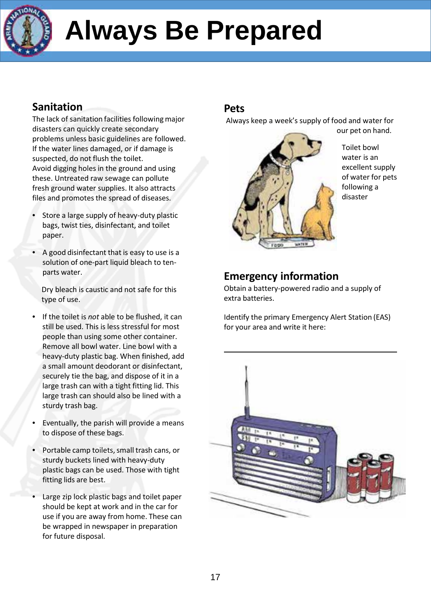

### **Sanitation**

The lack of sanitation facilities following major disasters can quickly create secondary problems unless basic guidelines are followed. If the water lines damaged, or if damage is suspected, do not flush the toilet. Avoid digging holes in the ground and using these. Untreated raw sewage can pollute fresh ground water supplies. It also attracts files and promotes the spread of diseases.

- Store a large supply of heavy-duty plastic bags, twist ties, disinfectant, and toilet paper.
- A good disinfectant that is easy to use is a solution of one-part liquid bleach to tenparts water.

Dry bleach is caustic and not safe for this type of use.

- If the toilet is *not* able to be flushed, it can still be used. This is less stressful for most people than using some other container. Remove all bowl water. Line bowl with a heavy-duty plastic bag. When finished, add a small amount deodorant or disinfectant, securely tie the bag, and dispose of it in a large trash can with a tight fitting lid. This large trash can should also be lined with a sturdy trash bag.
- Eventually, the parish will provide a means to dispose of these bags.
- Portable camp toilets, small trash cans, or sturdy buckets lined with heavy-duty plastic bags can be used. Those with tight fitting lids are best.
- Large zip lock plastic bags and toilet paper should be kept at work and in the car for use if you are away from home. These can be wrapped in newspaper in preparation for future disposal.

### **Pets**

Always keep a week's supply of food and water for



Toilet bowl water is an excellent supply of water for pets following a disaster

### **Emergency information**

Obtain a battery-powered radio and a supply of extra batteries.

Identify the primary Emergency Alert Station (EAS) for your area and write it here:

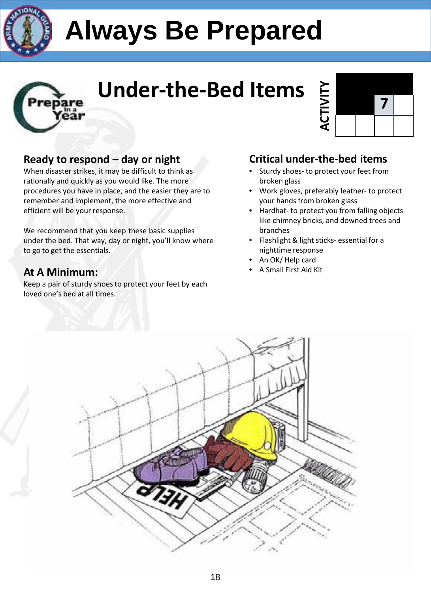



### **Under-the-Bed Items**

### **Ready to respond – day or night**

When disaster strikes, it may be difficult to think as rationally and quickly as you would like. The more procedures you have in place, and the easier they are to remember and implement, the more effective and efficient will be your response.

We recommend that you keep these basic supplies under the bed. That way, day or night, you'll know where to go to get the essentials.

### **At A Minimum:**

Keep a pair of sturdy shoes to protect your feet by each loved one's bed at all times.



### **Critical under-the-bed items**

- Sturdy shoes- to protect your feet from broken glass
- Work gloves, preferably leather- to protect your hands from broken glass
- Hardhat- to protect you from falling objects like chimney bricks, and downed trees and branches
- Flashlight& light sticks- essential for a nighttime response
- An OK/ Help card
- A Small First Aid Kit

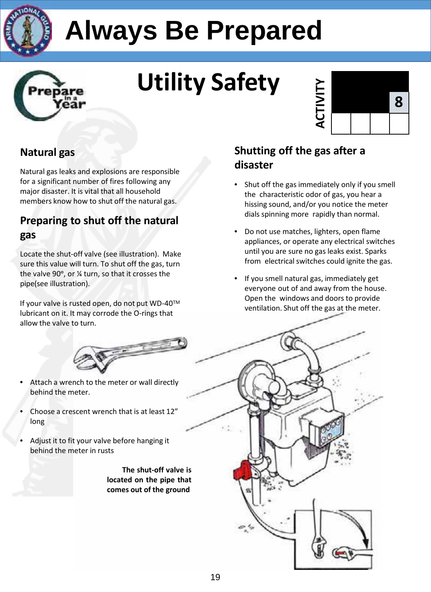



# **Utility Safety**



### **Natural gas**

Natural gas leaks and explosions are responsible for a significant number of fires following any major disaster. It is vital that all household members know how to shut off the natural gas.

### **Preparing to shut off the natural gas**

Locate the shut-off valve (see illustration). Make sure this value will turn. To shut off the gas, turn the valve 90°, or % turn, so that it crosses the pipe(see illustration).

If your valve is rusted open, do not put WD-40™ lubricant on it. It may corrode the O-rings that allow the valve to turn.



- Attach a wrench to the meter or wall directly behind the meter.
- Choose a crescent wrench that is at least 12" long
- Adjust it to fit your valve before hanging it behind the meter in rusts

**The shut-off valve is located on the pipe that comes out of the ground**

### **Shutting off the gas after a disaster**

- Shut off the gas immediately only if you smell the characteristic odor of gas, you hear a hissing sound, and/or you notice the meter dials spinning more rapidly than normal.
- Do not use matches, lighters, open flame appliances, or operate any electrical switches until you are sure no gas leaks exist. Sparks from electrical switches could ignite the gas.
- If you smell natural gas, immediately get everyone out of and away from the house. Open the windows and doors to provide ventilation. Shut off the gas at the meter.

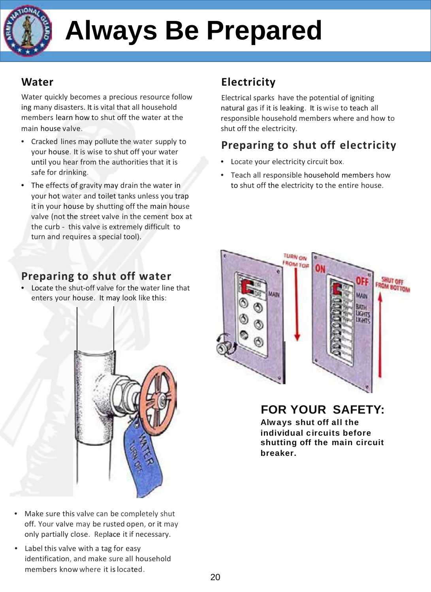

### **Water**

Water quickly becomes a precious resource follow ing many disasters. It is vital that all household members learn how to shut off the water at the main house valve.

- Cracked lines may pollute the water supply to your house. It is wise to shut off your water until you hear from the authorities that it is safe for drinking.
- The effects of gravity may drain the water in your hot water and toilet tanks unless you trap it in your house by shutting off the main house valve (not the street valve in the cement box at the curb - this valve is extremely difficult to turn and requires a special tool).

### **Electricity**

Electrical sparks have the potential of igniting natural gas if it is leaking. It is wise to teach all responsible household members where and how to shut off the electricity.

### **Preparing to shut off electricity**

- Locate your electricity circuit box.
- Teach all responsible household members how to shut off the electricity to the entire house.

### **Preparing to shut off water**

• Locate the shut-off valve for the water line that enters your house. It may look like this:



- Make sure this valve can be completely shut off. Your valve may be rusted open, or it may only partially close. Replace it if necessary.
- Label this valve with a tag for easy identification, and make sure all household members know where it is located.



**FOR YOUR SAFETY:**

**Always shut off all the individual circuits before shutting off the main circuit breaker.**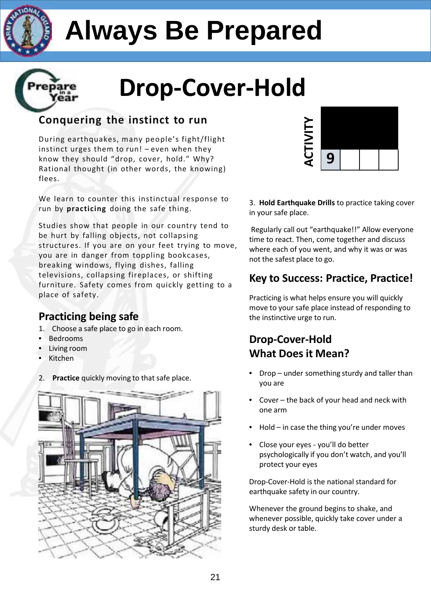

ear

## **Always Be Prepared**



### **Conquering the instinct to run**

During earthquakes, many people's fight/flight instinct urges them to run! – even when they know they should "drop, cover, hold." Why? Rational thought (in other words, the knowing) flees.

We learn to counter this instinctual response to run by **practicing** doing the safe thing.

Studies show that people in our country tend to be hurt by falling objects, not collapsing structures. If you are on your feet trying to move, you are in danger from toppling bookcases, breaking windows, flying dishes, falling televisions, collapsing fireplaces, or shifting furniture. Safety comes from quickly getting to a place of safety.

### **Practicing being safe**

- 1. Choose a safe place to go in each room.
- Bedrooms
- Living room
- Kitchen
- 2. **Practice** quickly moving to that safe place.





3. **Hold Earthquake Drills** to practice taking cover in your safe place.

Regularly call out "earthquake!!" Allow everyone time to react. Then, come together and discuss where each of you went, and why it was or was not the safest place to go.

### **Key to Success: Practice, Practice!**

Practicing is what helps ensure you will quickly move to your safe place instead of responding to the instinctive urge to run.

### **Drop-Cover-Hold What Does it Mean?**

- Drop under something sturdy and taller than you are
- Cover the back of your head and neck with one arm
- Hold in case the thing you're under moves
- Close your eyes you'll do better psychologically if you don't watch, and you'll protect your eyes

Drop-Cover-Hold is the national standard for earthquake safety in our country.

Whenever the ground begins to shake, and whenever possible, quickly take cover under a sturdy desk or table.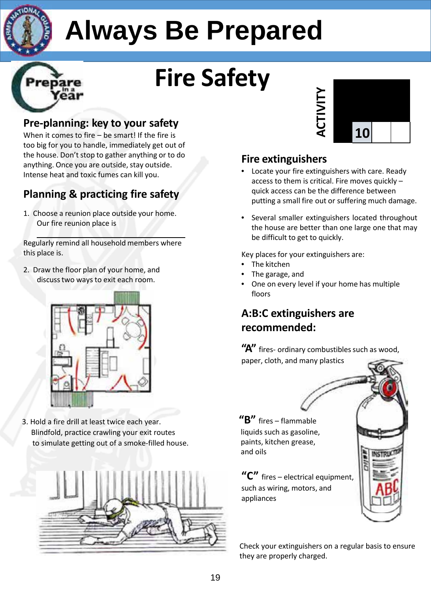

## **Fire Safety**

### **Pre-planning: key to your safety**

When it comes to fire – be smart! If the fire is too big for you to handle, immediately get out of the house. Don't stop to gather anything or to do anything. Once you are outside, stay outside. Intense heat and toxic fumes can kill you.

### **Planning & practicing fire safety**

1. Choose a reunion place outside your home. Our fire reunion place is

Regularly remind all household members where this place is.

2. Draw the floor plan of your home, and discusstwo ways to exit each room.



3. Hold a fire drill at least twice each year. Blindfold, practice crawling your exit routes to simulate getting out of a smoke-filled house.





### **Fire extinguishers**

- Locate your fire extinguishers with care. Ready access to them is critical. Fire moves quickly – quick access can be the difference between putting a small fire out or suffering much damage.
- Several smaller extinguishers located throughout the house are better than one large one that may be difficult to get to quickly.

Key places for your extinguishers are:

- The kitchen
- The garage, and
- One on every level if your home has multiple floors

### **A:B:C extinguishers are recommended:**

"A" fires- ordinary combustibles such as wood, paper, cloth, and many plastics

**"B"** fires – flammable liquids such as gasoline, paints, kitchen grease, and oils

**"C"** fires – electrical equipment, such as wiring, motors, and appliances



**NSTRL**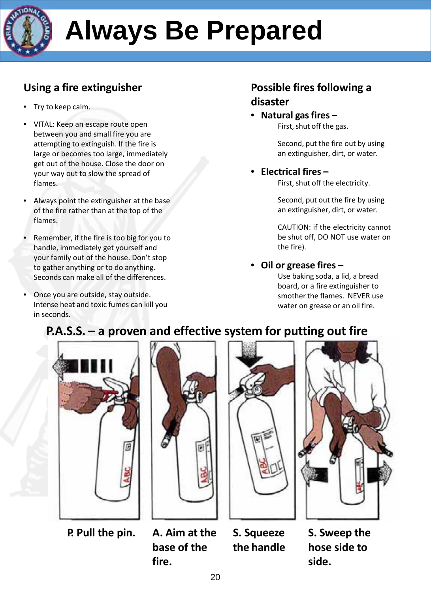

### **Using a fire extinguisher**

- Try to keep calm.
- VITAL: Keep an escape route open between you and small fire you are attempting to extinguish. If the fire is large or becomes too large, immediately get out of the house. Close the door on your way out to slow the spread of flames.
- Always point the extinguisher at the base of the fire rather than at the top of the flames.
- Remember, if the fire is too big for you to handle, immediately get yourself and your family out of the house. Don't stop to gather anything or to do anything. Seconds can make all of the differences.
- Once you are outside, stay outside. Intense heat and toxic fumes can kill you in seconds.

### **Possible fires following a disaster**

• **Natural gasfires –** First, shut off the gas.

> Second, put the fire out by using an extinguisher, dirt, or water.

### • **Electrical fires –**

First, shut off the electricity.

Second, put out the fire by using an extinguisher, dirt, or water.

CAUTION: if the electricity cannot be shut off, DO NOT use water on the fire).

### • **Oil or grease fires –**

Use baking soda, a lid, a bread board, or a fire extinguisher to smother the flames. NEVER use water on grease or an oil fire.

### **P.A.S.S. – a proven and effective system for putting out fire**



**P. Pull the pin. A. Aim at the**



**base of the fire.**





**S. Squeeze the handle**

**S. Sweep the hose side to side.**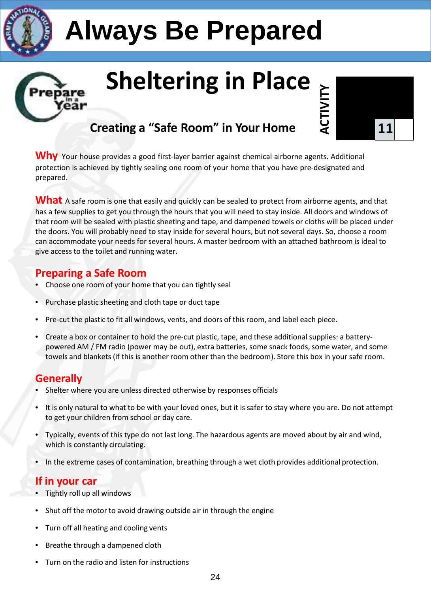

## **Sheltering in Place**



Why Your house provides a good first-layer barrier against chemical airborne agents. Additional protection is achieved by tightly sealing one room of your home that you have pre-designated and prepared.

What A safe room is one that easily and quickly can be sealed to protect from airborne agents, and that has a few supplies to get you through the hours that you will need to stay inside. All doors and windows of that room will be sealed with plastic sheeting and tape, and dampened towels or cloths will be placed under the doors. You will probably need to stay inside for several hours, but not several days. So, choose a room can accommodate your needs for several hours. A master bedroom with an attached bathroom is ideal to give access to the toilet and running water.

### **Preparing a Safe Room**

ear

- Choose one room of your home that you can tightly seal
- Purchase plastic sheeting and cloth tape or duct tape
- Pre-cut the plastic to fit all windows, vents, and doors of this room, and label each piece.
- Create a box or container to hold the pre-cut plastic, tape, and these additional supplies: a batterypowered AM / FM radio (power may be out), extra batteries, some snack foods, some water, and some towels and blankets (if this is another room other than the bedroom). Store this box in your safe room.

### **Generally**

- Shelter where you are unless directed otherwise by responses officials
- It is only natural to what to be with your loved ones, but it is safer to stay where you are. Do not attempt to get your children from school or day care.
- Typically, events of this type do not last long. The hazardous agents are moved about by air and wind, which is constantly circulating.
- In the extreme cases of contamination, breathing through a wet cloth provides additional protection.

### **If in your car**

- Tightly roll up all windows
- Shut off the motor to avoid drawing outside air in through the engine
- Turn off all heating and cooling vents
- Breathe through a dampened cloth
- Turn on the radio and listen for instructions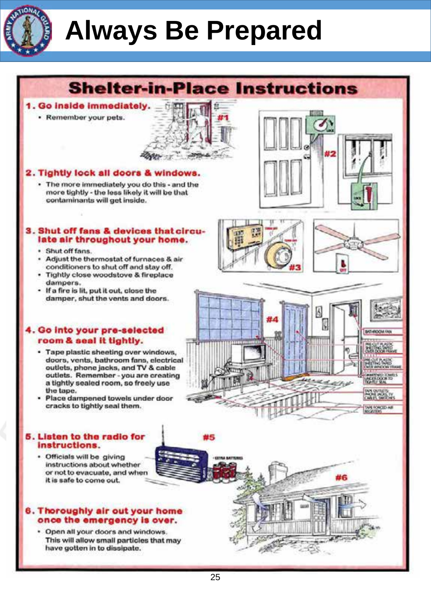

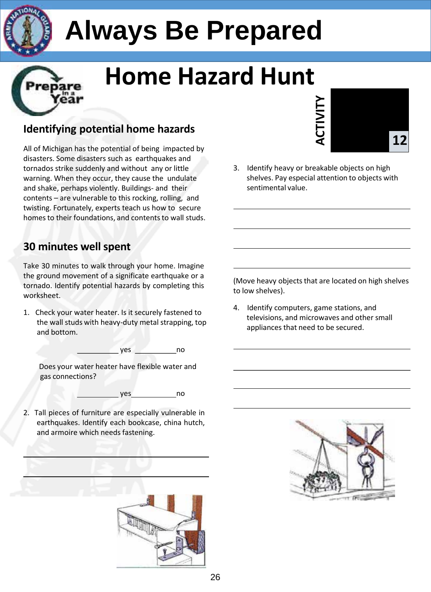

## **Home Hazard Hunt**

### **Identifying potential home hazards**

All of Michigan has the potential of being impacted by disasters. Some disasters such as earthquakes and tornados strike suddenly and without any or little warning. When they occur, they cause the undulate and shake, perhaps violently. Buildings- and their contents – are vulnerable to this rocking, rolling, and twisting. Fortunately, experts teach us how to secure homesto their foundations, and contents to wall studs.

### **30 minutes wellspent**

Take 30 minutes to walk through your home. Imagine the ground movement of a significate earthquake or a tornado. Identify potential hazards by completing this worksheet.

1. Check your water heater. Is it securely fastened to the wall studs with heavy-duty metal strapping, top and bottom.

$$
\underbrace{\hspace{2.5cm}} \text{yes} \quad \underbrace{\hspace{2.5cm}} \text{no}
$$

Does your water heater have flexible water and gas connections?

yes no

2. Tall pieces of furniture are especially vulnerable in earthquakes. Identify each bookcase, china hutch, and armoire which needs fastening.





3. Identify heavy or breakable objects on high shelves. Pay especial attention to objects with sentimental value.

(Move heavy objects that are located on high shelves to low shelves).

4. Identify computers, game stations, and televisions, and microwaves and other small appliances that need to be secured.